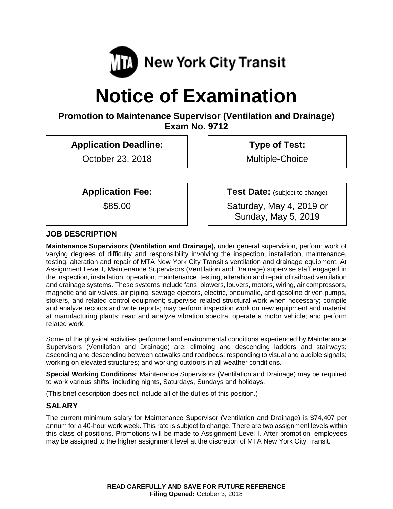

# **Notice of Examination**

## **Promotion to Maintenance Supervisor (Ventilation and Drainage) Exam No. 9712**

**Application Deadline:**

October 23, 2018

**Type of Test:** 

Multiple-Choice

**Application Fee:**

\$85.00

**Test Date:** (subject to change)

Saturday, May 4, 2019 or Sunday, May 5, 2019

## **JOB DESCRIPTION**

**Maintenance Supervisors (Ventilation and Drainage),** under general supervision, perform work of varying degrees of difficulty and responsibility involving the inspection, installation, maintenance, testing, alteration and repair of MTA New York City Transit's ventilation and drainage equipment. At Assignment Level I, Maintenance Supervisors (Ventilation and Drainage) supervise staff engaged in the inspection, installation, operation, maintenance, testing, alteration and repair of railroad ventilation and drainage systems. These systems include fans, blowers, louvers, motors, wiring, air compressors, magnetic and air valves, air piping, sewage ejectors, electric, pneumatic, and gasoline driven pumps, stokers, and related control equipment; supervise related structural work when necessary; compile and analyze records and write reports; may perform inspection work on new equipment and material at manufacturing plants; read and analyze vibration spectra; operate a motor vehicle; and perform related work.

Some of the physical activities performed and environmental conditions experienced by Maintenance Supervisors (Ventilation and Drainage) are: climbing and descending ladders and stairways; ascending and descending between catwalks and roadbeds; responding to visual and audible signals; working on elevated structures; and working outdoors in all weather conditions.

**Special Working Conditions**: Maintenance Supervisors (Ventilation and Drainage) may be required to work various shifts, including nights, Saturdays, Sundays and holidays.

(This brief description does not include all of the duties of this position.)

## **SALARY**

The current minimum salary for Maintenance Supervisor (Ventilation and Drainage) is \$74,407 per annum for a 40-hour work week. This rate is subject to change. There are two assignment levels within this class of positions. Promotions will be made to Assignment Level I. After promotion, employees may be assigned to the higher assignment level at the discretion of MTA New York City Transit.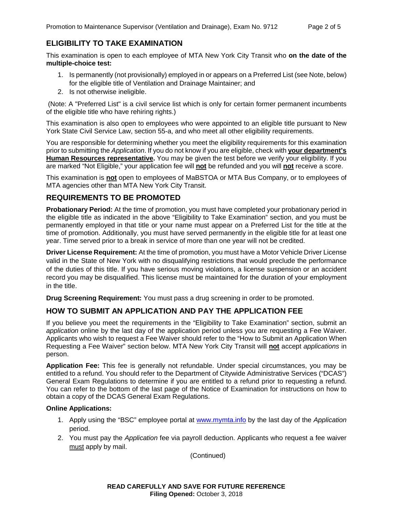## **ELIGIBILITY TO TAKE EXAMINATION**

This examination is open to each employee of MTA New York City Transit who **on the date of the multiple-choice test:**

- 1. Is permanently (not provisionally) employed in or appears on a Preferred List (see Note, below) for the eligible title of Ventilation and Drainage Maintainer; and
- 2. Is not otherwise ineligible.

(Note: A "Preferred List" is a civil service list which is only for certain former permanent incumbents of the eligible title who have rehiring rights.)

This examination is also open to employees who were appointed to an eligible title pursuant to New York State Civil Service Law, section 55-a, and who meet all other eligibility requirements.

You are responsible for determining whether you meet the eligibility requirements for this examination prior to submitting the *Application*. If you do not know if you are eligible, check with **your department's Human Resources representative.** You may be given the test before we verify your eligibility. If you are marked "Not Eligible," your application fee will **not** be refunded and you will **not** receive a score.

This examination is **not** open to employees of MaBSTOA or MTA Bus Company, or to employees of MTA agencies other than MTA New York City Transit.

#### **REQUIREMENTS TO BE PROMOTED**

**Probationary Period:** At the time of promotion, you must have completed your probationary period in the eligible title as indicated in the above "Eligibility to Take Examination" section, and you must be permanently employed in that title or your name must appear on a Preferred List for the title at the time of promotion. Additionally, you must have served permanently in the eligible title for at least one year. Time served prior to a break in service of more than one year will not be credited.

**Driver License Requirement:** At the time of promotion, you must have a Motor Vehicle Driver License valid in the State of New York with no disqualifying restrictions that would preclude the performance of the duties of this title. If you have serious moving violations, a license suspension or an accident record you may be disqualified. This license must be maintained for the duration of your employment in the title.

**Drug Screening Requirement:** You must pass a drug screening in order to be promoted.

## **HOW TO SUBMIT AN APPLICATION AND PAY THE APPLICATION FEE**

If you believe you meet the requirements in the "Eligibility to Take Examination" section, submit an *application* online by the last day of the application period unless you are requesting a Fee Waiver. Applicants who wish to request a Fee Waiver should refer to the "How to Submit an Application When Requesting a Fee Waiver" section below. MTA New York City Transit will **not** accept *applications* in person.

**Application Fee:** This fee is generally not refundable. Under special circumstances, you may be entitled to a refund. You should refer to the Department of Citywide Administrative Services ("DCAS") General Exam Regulations to determine if you are entitled to a refund prior to requesting a refund. You can refer to the bottom of the last page of the Notice of Examination for instructions on how to obtain a copy of the DCAS General Exam Regulations.

#### **Online Applications:**

- 1. Apply using the "BSC" employee portal at [www.mymta.info](http://www.mymta.info/) by the last day of the *Application*  period.
- 2. You must pay the *Application* fee via payroll deduction. Applicants who request a fee waiver must apply by mail.

(Continued)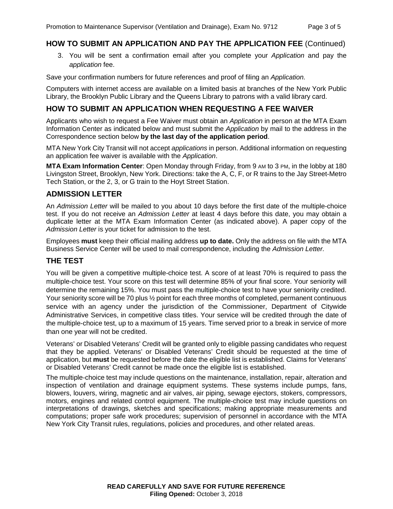### **HOW TO SUBMIT AN APPLICATION AND PAY THE APPLICATION FEE** (Continued)

3. You will be sent a confirmation email after you complete your *Application* and pay the *application* fee.

Save your confirmation numbers for future references and proof of filing an *Application.*

Computers with internet access are available on a limited basis at branches of the New York Public Library, the Brooklyn Public Library and the Queens Library to patrons with a valid library card.

#### **HOW TO SUBMIT AN APPLICATION WHEN REQUESTING A FEE WAIVER**

Applicants who wish to request a Fee Waiver must obtain an *Application* in person at the MTA Exam Information Center as indicated below and must submit the *Application* by mail to the address in the Correspondence section below **by the last day of the application period**.

MTA New York City Transit will not accept *applications* in person. Additional information on requesting an application fee waiver is available with the *Application*.

**MTA Exam Information Center**: Open Monday through Friday, from 9 AM to 3 PM, in the lobby at 180 Livingston Street, Brooklyn, New York. Directions: take the A, C, F, or R trains to the Jay Street-Metro Tech Station, or the 2, 3, or G train to the Hoyt Street Station.

#### **ADMISSION LETTER**

An *Admission Letter* will be mailed to you about 10 days before the first date of the multiple-choice test. If you do not receive an *Admission Letter* at least 4 days before this date, you may obtain a duplicate letter at the MTA Exam Information Center (as indicated above). A paper copy of the *Admission Letter* is your ticket for admission to the test.

Employees **must** keep their official mailing address **up to date.** Only the address on file with the MTA Business Service Center will be used to mail correspondence, including the *Admission Letter.*

#### **THE TEST**

You will be given a competitive multiple-choice test. A score of at least 70% is required to pass the multiple-choice test. Your score on this test will determine 85% of your final score. Your seniority will determine the remaining 15%. You must pass the multiple-choice test to have your seniority credited. Your seniority score will be 70 plus  $\frac{1}{2}$  point for each three months of completed, permanent continuous service with an agency under the jurisdiction of the Commissioner, Department of Citywide Administrative Services, in competitive class titles. Your service will be credited through the date of the multiple-choice test, up to a maximum of 15 years. Time served prior to a break in service of more than one year will not be credited.

Veterans' or Disabled Veterans' Credit will be granted only to eligible passing candidates who request that they be applied. Veterans' or Disabled Veterans' Credit should be requested at the time of application, but **must** be requested before the date the eligible list is established. Claims for Veterans' or Disabled Veterans' Credit cannot be made once the eligible list is established.

The multiple-choice test may include questions on the maintenance, installation, repair, alteration and inspection of ventilation and drainage equipment systems. These systems include pumps, fans, blowers, louvers, wiring, magnetic and air valves, air piping, sewage ejectors, stokers, compressors, motors, engines and related control equipment. The multiple-choice test may include questions on interpretations of drawings, sketches and specifications; making appropriate measurements and computations; proper safe work procedures; supervision of personnel in accordance with the MTA New York City Transit rules, regulations, policies and procedures, and other related areas.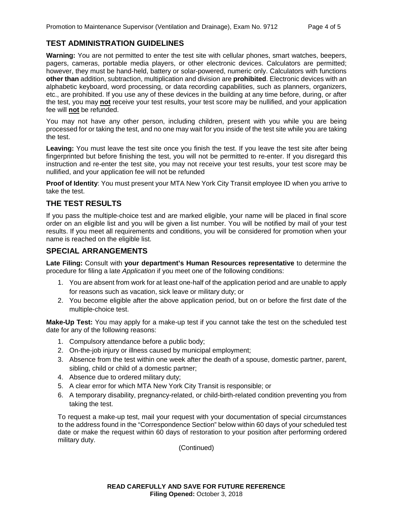#### **TEST ADMINISTRATION GUIDELINES**

**Warning:** You are not permitted to enter the test site with cellular phones, smart watches, beepers, pagers, cameras, portable media players, or other electronic devices. Calculators are permitted; however, they must be hand-held, battery or solar-powered, numeric only. Calculators with functions **other than** addition, subtraction, multiplication and division are **prohibited**. Electronic devices with an alphabetic keyboard, word processing, or data recording capabilities, such as planners, organizers, etc., are prohibited. If you use any of these devices in the building at any time before, during, or after the test, you may **not** receive your test results, your test score may be nullified, and your application fee will **not** be refunded.

You may not have any other person, including children, present with you while you are being processed for or taking the test, and no one may wait for you inside of the test site while you are taking the test.

Leaving: You must leave the test site once you finish the test. If you leave the test site after being fingerprinted but before finishing the test, you will not be permitted to re-enter. If you disregard this instruction and re-enter the test site, you may not receive your test results, your test score may be nullified, and your application fee will not be refunded

**Proof of Identity**: You must present your MTA New York City Transit employee ID when you arrive to take the test.

#### **THE TEST RESULTS**

If you pass the multiple-choice test and are marked eligible, your name will be placed in final score order on an eligible list and you will be given a list number. You will be notified by mail of your test results. If you meet all requirements and conditions, you will be considered for promotion when your name is reached on the eligible list.

#### **SPECIAL ARRANGEMENTS**

**Late Filing:** Consult with **your department's Human Resources representative** to determine the procedure for filing a late *Application* if you meet one of the following conditions:

- 1. You are absent from work for at least one-half of the application period and are unable to apply for reasons such as vacation, sick leave or military duty; or
- 2. You become eligible after the above application period, but on or before the first date of the multiple-choice test.

**Make-Up Test:** You may apply for a make-up test if you cannot take the test on the scheduled test date for any of the following reasons:

- 1. Compulsory attendance before a public body;
- 2. On-the-job injury or illness caused by municipal employment;
- 3. Absence from the test within one week after the death of a spouse, domestic partner, parent, sibling, child or child of a domestic partner;
- 4. Absence due to ordered military duty;
- 5. A clear error for which MTA New York City Transit is responsible; or
- 6. A temporary disability, pregnancy-related, or child-birth-related condition preventing you from taking the test.

To request a make-up test, mail your request with your documentation of special circumstances to the address found in the "Correspondence Section" below within 60 days of your scheduled test date or make the request within 60 days of restoration to your position after performing ordered military duty.

(Continued)